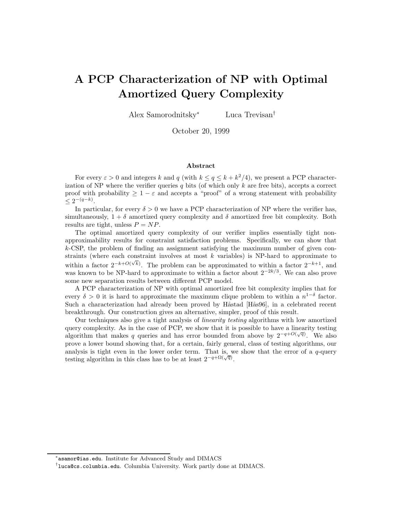# A PCP Characterization of NP with Optimal Amortized Query Complexity

Alex Samorodnitsky<sup>∗</sup> Luca Trevisan†

October 20, 1999

#### Abstract

For every  $\varepsilon > 0$  and integers k and q (with  $k \le q \le k + k^2/4$ ), we present a PCP characterization of NP where the verifier queries q bits (of which only k are free bits), accepts a correct proof with probability  $\geq 1 - \varepsilon$  and accepts a "proof" of a wrong statement with probability  $\leq 2^{-(q-k)}$ .

In particular, for every  $\delta > 0$  we have a PCP characterization of NP where the verifier has, simultaneously,  $1 + \delta$  amortized query complexity and  $\delta$  amortized free bit complexity. Both results are tight, unless  $P = NP$ .

The optimal amortized query complexity of our verifier implies essentially tight nonapproximability results for constraint satisfaction problems. Specifically, we can show that  $k$ -CSP, the problem of finding an assignment satisfying the maximum number of given constraints (where each constraint involves at most  $k$  variables) is NP-hard to approximate to within a factor  $2^{-k+O(\sqrt{k})}$ . The problem can be approximated to within a factor  $2^{-k+1}$ , and was known to be NP-hard to approximate to within a factor about  $2^{-2k/3}$ . We can also prove some new separation results between different PCP model.

A PCP characterization of NP with optimal amortized free bit complexity implies that for every  $\delta > 0$  it is hard to approximate the maximum clique problem to within a  $n^{1-\delta}$  factor. Such a characterization had already been proved by Håstad [Hås96], in a celebrated recent breakthrough. Our construction gives an alternative, simpler, proof of this result.

Our techniques also give a tight analysis of linearity testing algorithms with low amortized query complexity. As in the case of PCP, we show that it is possible to have a linearity testing algorithm that makes q queries and has error bounded from above by  $2^{-q+O(\sqrt{q})}$ . We also prove a lower bound showing that, for a certain, fairly general, class of testing algorithms, our analysis is tight even in the lower order term. That is, we show that the error of a  $q$ -query testing algorithm in this class has to be at least  $2^{-q+\Omega(\sqrt{q})}$ .

<sup>∗</sup> asamor@ias.edu. Institute for Advanced Study and DIMACS

<sup>†</sup> luca@cs.columbia.edu. Columbia University. Work partly done at DIMACS.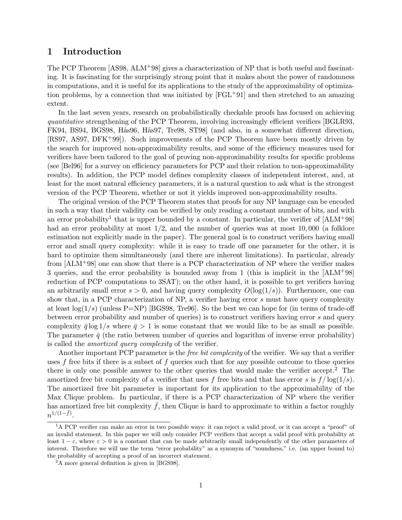### 1 Introduction

The PCP Theorem [AS98, ALM<sup>+</sup>98] gives a characterization of NP that is both useful and fascinating. It is fascinating for the surprisingly strong point that it makes about the power of randomness in computations, and it is useful for its applications to the study of the approximability of optimization problems, by a connection that was initiated by  $[FGL+91]$  and then stretched to an amazing extent.

In the last seven years, research on probabilistically checkable proofs has focused on achieving quantitative strengthening of the PCP Theorem, involving increasingly efficient verifiers [BGLR93, FK94, BS94, BGS98, Hås96, Hås97, Tre98, ST98 (and also, in a somewhat different direction, [RS97, AS97, DFK+99]). Such improvements of the PCP Theorem have been mostly driven by the search for improved non-approximability results, and some of the efficiency measures used for verifiers have been tailored to the goal of proving non-approximability results for specific problems (see [Bel96] for a survey on efficiency parameters for PCP and their relation to non-approximability results). In addition, the PCP model defines complexity classes of independent interest, and, at least for the most natural efficiency parameters, it is a natural question to ask what is the strongest version of the PCP Theorem, whether or not it yields improved non-approximability results.

The original version of the PCP Theorem states that proofs for any NP language can be encoded in such a way that their validity can be verified by only reading a constant number of bits, and with an error probability<sup>1</sup> that is upper bounded by a constant. In particular, the verifier of  $[ALM+98]$ had an error probability at most  $1/2$ , and the number of queries was at most  $10,000$  (a folklore estimation not explicitly made in the paper). The general goal is to construct verifiers having small error and small query complexity: while it is easy to trade off one parameter for the other, it is hard to optimize them simultaneously (and there are inherent limitations). In particular, already from [ALM+98] one can show that there is a PCP characterization of NP where the verifier makes 3 queries, and the error probability is bounded away from 1 (this is implicit in the [ALM+98] reduction of PCP computations to 3SAT); on the other hand, it is possible to get verifiers having an arbitrarily small error  $s > 0$ , and having query complexity  $O(\log(1/s))$ . Furthermore, one can show that, in a PCP characterization of NP, a verifier having error  $s$  must have query complexity at least  $log(1/s)$  (unless P=NP) [BGS98, Tre96]. So the best we can hope for (in terms of trade-off between error probability and number of queries) is to construct verifiers having error s and query complexity  $\bar{q} \log 1/s$  where  $\bar{q} > 1$  is some constant that we would like to be as small as possible. The parameter  $\bar{q}$  (the ratio between number of queries and logarithm of inverse error probability) is called the amortized query complexity of the verifier.

Another important PCP parameter is the *free bit complexity* of the verifier. We say that a verifier uses f free bits if there is a subset of f queries such that for any possible outcome to these queries there is only one possible answer to the other queries that would make the verifier accept.<sup>2</sup> The amortized free bit complexity of a verifier that uses f free bits and that has error s is  $f / \log(1/s)$ . The amortized free bit parameter is important for its application to the approximability of the Max Clique problem. In particular, if there is a PCP characterization of NP where the verifier has amortized free bit complexity  $\bar{f}$ , then Clique is hard to approximate to within a factor roughly  $n^{1/(1-\bar{f})}.$ 

<sup>&</sup>lt;sup>1</sup>A PCP verifier can make an error in two possible ways: it can reject a valid proof, or it can accept a "proof" of an invalid statement. In this paper we will only consider PCP verifiers that accept a valid proof with probability at least  $1 - \varepsilon$ , where  $\varepsilon > 0$  is a constant that can be made arbitrarily small independently of the other parameters of interest. Therefore we will use the term "error probability" as a synonym of "soundness," i.e. (an upper bound to) the probability of accepting a proof of an incorrect statement.

<sup>&</sup>lt;sup>2</sup>A more general definition is given in [BGS98].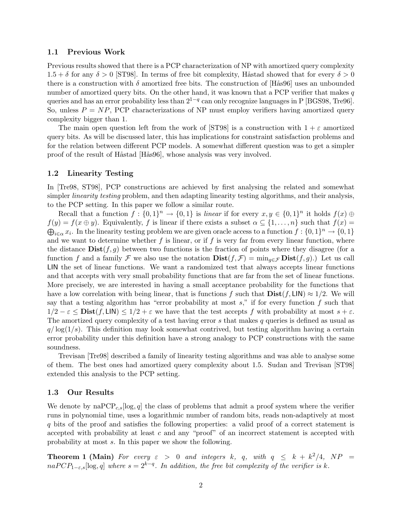### 1.1 Previous Work

Previous results showed that there is a PCP characterization of NP with amortized query complexity  $1.5 + \delta$  for any  $\delta > 0$  [ST98]. In terms of free bit complexity, Håstad showed that for every  $\delta > 0$ there is a construction with  $\delta$  amortized free bits. The construction of [Hås96] uses an unbounded number of amortized query bits. On the other hand, it was known that a PCP verifier that makes  $q$ queries and has an error probability less than  $2^{1-q}$  can only recognize languages in P [BGS98, Tre96]. So, unless  $P = NP$ , PCP characterizations of NP must employ verifiers having amortized query complexity bigger than 1.

The main open question left from the work of [ST98] is a construction with  $1 + \varepsilon$  amortized query bits. As will be discussed later, this has implications for constraint satisfaction problems and for the relation between different PCP models. A somewhat different question was to get a simpler proof of the result of Håstad [Hås96], whose analysis was very involved.

### 1.2 Linearity Testing

In [Tre98, ST98], PCP constructions are achieved by first analysing the related and somewhat simpler *linearity testing* problem, and then adapting linearity testing algorithms, and their analysis, to the PCP setting. In this paper we follow a similar route.

Recall that a function  $f: \{0,1\}^n \to \{0,1\}$  is linear if for every  $x, y \in \{0,1\}^n$  it holds  $f(x) \oplus$  $f(y) = f(x \oplus y)$ . Equivalently, f is linear if there exists a subset  $\alpha \subseteq \{1, \ldots, n\}$  such that  $f(x) =$  $\bigoplus_{i\in\alpha} x_i$ . In the linearity testing problem we are given oracle access to a function  $f: \{0,1\}^n \to \{0,1\}$ and we want to determine whether  $f$  is linear, or if  $f$  is very far from every linear function, where the distance  $\text{Dist}(f, g)$  between two functions is the fraction of points where they disagree (for a function f and a family F we also use the notation  $\text{Dist}(f, \mathcal{F}) = \min_{q \in \mathcal{F}} \text{Dist}(f, g)$ .) Let us call LIN the set of linear functions. We want a randomized test that always accepts linear functions and that accepts with very small probability functions that are far from the set of linear functions. More precisely, we are interested in having a small acceptance probability for the functions that have a low correlation with being linear, that is functions f such that  $\text{Dist}(f, \text{LIN}) \approx 1/2$ . We will say that a testing algorithm has "error probability at most  $s$ ," if for every function f such that  $1/2 - \varepsilon \le \text{Dist}(f, \text{LIN}) \le 1/2 + \varepsilon$  we have that the test accepts f with probability at most  $s + \varepsilon$ . The amortized query complexity of a test having error s that makes q queries is defined as usual as  $q/\log(1/s)$ . This definition may look somewhat contrived, but testing algorithm having a certain error probability under this definition have a strong analogy to PCP constructions with the same soundness.

Trevisan [Tre98] described a family of linearity testing algorithms and was able to analyse some of them. The best ones had amortized query complexity about 1.5. Sudan and Trevisan [ST98] extended this analysis to the PCP setting.

#### 1.3 Our Results

We denote by naPCP<sub>c,s</sub>[log, q] the class of problems that admit a proof system where the verifier runs in polynomial time, uses a logarithmic number of random bits, reads non-adaptively at most q bits of the proof and satisfies the following properties: a valid proof of a correct statement is accepted with probability at least  $c$  and any "proof" of an incorrect statement is accepted with probability at most s. In this paper we show the following.

**Theorem 1 (Main)** For every  $\varepsilon > 0$  and integers k, q, with  $q \leq k + k^2/4$ , NP  $naPCP_{1-\varepsilon,s}[\log,q]$  where  $s=2^{k-q}$ . In addition, the free bit complexity of the verifier is k.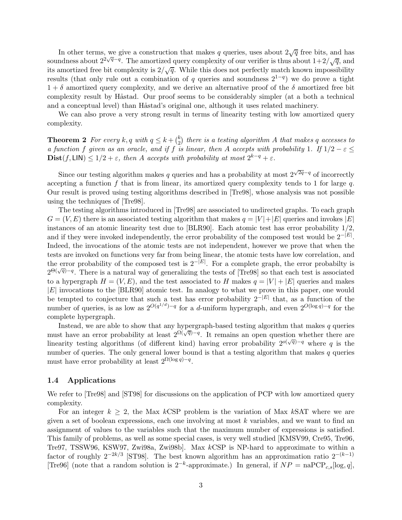In other terms, we give a construction that makes q queries, uses about  $2\sqrt{q}$  free bits, and has soundness about  $2^{2\sqrt{q}-q}$ . The amortized query complexity of our verifier is thus about  $1+2/\sqrt{q}$ , and its amortized free bit complexity is  $2/\sqrt{q}$ . While this does not perfectly match known impossibility results (that only rule out a combination of q queries and soundness  $2^{1-q}$ ) we do prove a tight  $1+\delta$  amortized query complexity, and we derive an alternative proof of the  $\delta$  amortized free bit complexity result by Håstad. Our proof seems to be considerably simpler (at a both a technical and a conceptual level) than Håstad's original one, although it uses related machinery.

We can also prove a very strong result in terms of linearity testing with low amortized query complexity.

**Theorem 2** For every  $k, q$  with  $q \leq k + \binom{k}{2}$  $\binom{\kappa}{2}$  there is a testing algorithm  $A$  that makes  $q$  accesses to a function f given as an oracle, and if f is linear, then A accepts with probability 1. If  $1/2 - \varepsilon \le$  $\text{Dist}(f, \text{LIN}) \leq 1/2 + \varepsilon$ , then A accepts with probability at most  $2^{k-q} + \varepsilon$ .

Since our testing algorithm makes q queries and has a probability at most  $2^{\sqrt{2q}-q}$  of incorrectly accepting a function f that is from linear, its amortized query complexity tends to 1 for large  $q$ . Our result is proved using testing algorithms described in [Tre98], whose analysis was not possible using the techniques of [Tre98].

The testing algorithms introduced in [Tre98] are associated to undirected graphs. To each graph  $G = (V, E)$  there is an associated testing algorithm that makes  $q = |V| + |E|$  queries and invokes  $|E|$ instances of an atomic linearity test due to [BLR90]. Each atomic test has error probability 1/2, and if they were invoked independently, the error probability of the composed test would be  $2^{-|E|}$ . Indeed, the invocations of the atomic tests are not independent, however we prove that when the tests are invoked on functions very far from being linear, the atomic tests have low correlation, and the error probability of the composed test is  $2^{-|E|}$ . For a complete graph, the error probabilty is 2<sup> $\Theta(\sqrt{q})-q$ </sup>. There is a natural way of generalizing the tests of [Tre98] so that each test is associated to a hypergraph  $H = (V, E)$ , and the test associated to H makes  $q = |V| + |E|$  queries and makes  $|E|$  invocations to the  $|BLR90|$  atomic test. In analogy to what we prove in this paper, one would be tempted to conjecture that such a test has error probability  $2^{-|E|}$  that, as a function of the number of queries, is as low as  $2^{O(q^{1/d})-q}$  for a d-uniform hypergraph, and even  $2^{O(\log q)-q}$  for the complete hypergraph.

Instead, we are able to show that any hypergraph-based testing algorithm that makes q queries must have an error probability at least  $2^{\Omega(\sqrt{q})-q}$ . It remains an open question whether there are linearity testing algorithms (of different kind) having error probability  $2^{o(\sqrt{q})-q}$  where q is the number of queries. The only general lower bound is that a testing algorithm that makes  $q$  queries must have error probability at least  $2^{\Omega(\log q)-q}$ .

#### 1.4 Applications

We refer to [Tre98] and [ST98] for discussions on the application of PCP with low amortized query complexity.

For an integer  $k \geq 2$ , the Max kCSP problem is the variation of Max kSAT where we are given a set of boolean expressions, each one involving at most k variables, and we want to find an assignment of values to the variables such that the maximum number of expressions is satisfied. This family of problems, as well as some special cases, is very well studied [KMSV99, Cre95, Tre96, Tre97, TSSW96, KSW97, Zwi98a, Zwi98b]. Max kCSP is NP-hard to approximate to within a factor of roughly  $2^{-2k/3}$  [ST98]. The best known algorithm has an approximation ratio  $2^{-(k-1)}$ [Tre96] (note that a random solution is  $2^{-k}$ -approximate.) In general, if  $NP = \text{naPCP}_{c,s}[\log, q]$ ,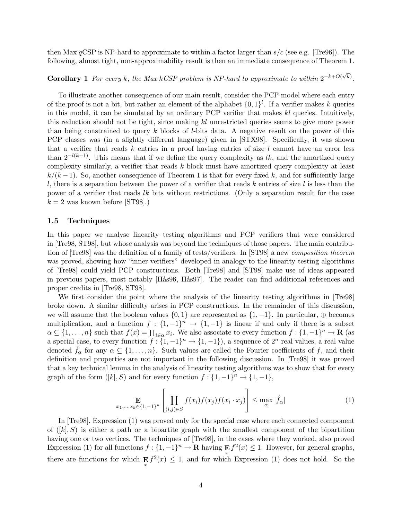then Max  $qCSP$  is NP-hard to approximate to within a factor larger than  $s/c$  (see e.g. [Tre96]). The following, almost tight, non-approximability result is then an immediate consequence of Theorem 1.

## **Corollary 1** For every k, the Max kCSP problem is NP-hard to approximate to within  $2^{-k+O(\sqrt{k})}$ .

To illustrate another consequence of our main result, consider the PCP model where each entry of the proof is not a bit, but rather an element of the alphabet  $\{0, 1\}^l$ . If a verifier makes k queries in this model, it can be simulated by an ordinary PCP verifier that makes kl queries. Intuitively, this reduction should not be tight, since making kl unrestricted queries seems to give more power than being constrained to query  $k$  blocks of l-bits data. A negative result on the power of this PCP classes was (in a slightly different language) given in [STX98]. Specifically, it was shown that a verifier that reads  $k$  entries in a proof having entries of size  $l$  cannot have an error less than  $2^{-l(k-1)}$ . This means that if we define the query complexity as lk, and the amortized query complexity similarly, a verifier that reads  $k$  block must have amortized query complexity at least  $k/(k-1)$ . So, another consequence of Theorem 1 is that for every fixed k, and for sufficiently large l, there is a separation between the power of a verifier that reads  $k$  entries of size l is less than the power of a verifier that reads lk bits without restrictions. (Only a separation result for the case  $k = 2$  was known before [ST98].)

#### 1.5 Techniques

In this paper we analyse linearity testing algorithms and PCP verifiers that were considered in [Tre98, ST98], but whose analysis was beyond the techniques of those papers. The main contribution of [Tre98] was the definition of a family of tests/verifiers. In [ST98] a new composition theorem was proved, showing how "inner verifiers" developed in analogy to the linearity testing algorithms of [Tre98] could yield PCP constructions. Both [Tre98] and [ST98] make use of ideas appeared in previous papers, most notably [Hås96, Hås97]. The reader can find additional references and proper credits in [Tre98, ST98].

We first consider the point where the analysis of the linearity testing algorithms in [Tre98] broke down. A similar difficulty arises in PCP constructions. In the remainder of this discussion, we will assume that the boolean values  $\{0, 1\}$  are represented as  $\{1, -1\}$ . In particular, ⊕ becomes multiplication, and a function  $f: \{1, -1\}^n \to \{1, -1\}$  is linear if and only if there is a subset  $\alpha \subseteq \{1, \ldots, n\}$  such that  $f(x) = \prod_{i \in \alpha} x_i$ . We also associate to every function  $f: \{1, -1\}^n \to \mathbf{R}$  (as a special case, to every function  $f: \{1, -1\}^n \to \{1, -1\}$ , a sequence of  $2^n$  real values, a real value denoted  $f_{\alpha}$  for any  $\alpha \subseteq \{1, \ldots, n\}$ . Such values are called the Fourier coefficients of f, and their definition and properties are not important in the following discussion. In [Tre98] it was proved that a key technical lemma in the analysis of linearity testing algorithms was to show that for every graph of the form  $([k], S)$  and for every function  $f: \{1, -1\}^n \to \{1, -1\}$ ,

$$
\mathbf{E}_{x_1,\ldots,x_k \in \{1,-1\}^n} \left[ \prod_{(i,j) \in S} f(x_i) f(x_j) f(x_i \cdot x_j) \right] \le \max_{\alpha} |\hat{f}_{\alpha}| \tag{1}
$$

In [Tre98], Expression (1) was proved only for the special case where each connected component of  $([k], S)$  is either a path or a bipartite graph with the smallest component of the bipartition having one or two vertices. The techniques of  $[Tree98]$ , in the cases where they worked, also proved Expression (1) for all functions  $f: \{1, -1\}^n \to \mathbf{R}$  having  $\mathbf{E}_x f^2(x) \leq 1$ . However, for general graphs, there are functions for which  $\mathbf{E}_x f^2(x) \leq 1$ , and for which Expression (1) does not hold. So the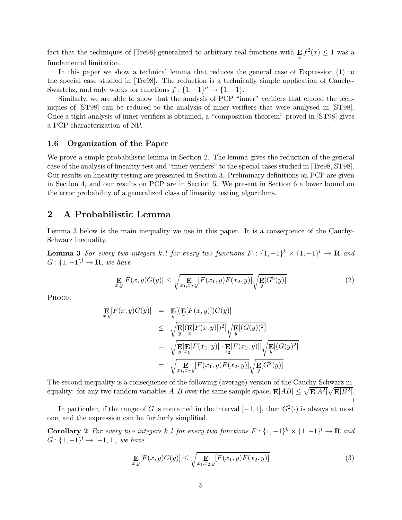fact that the techniques of [Tre98] generalized to arbitrary real functions with  $\mathbf{E}_x f^2(x) \leq 1$  was a fundamental limitation.

In this paper we show a technical lemma that reduces the general case of Expression (1) to the special case studied in [Tre98]. The reduction is a technically simple application of Cauchy-Swartchz, and only works for functions  $f: \{1, -1\}^n \to \{1, -1\}.$ 

Similarly, we are able to show that the analysis of PCP "inner" verifiers that eluded the techniques of [ST98] can be reduced to the analysis of inner verifiers that were analysed in [ST98]. Once a tight analysis of inner verifiers is obtained, a "composition theorem" proved in [ST98] gives a PCP characterization of NP.

### 1.6 Organization of the Paper

We prove a simple probabilistic lemma in Section 2. The lemma gives the reduction of the general case of the analysis of linearity test and "inner verifiers" to the special cases studied in [Tre98, ST98]. Our results on linearity testing are presented in Section 3. Preliminary definitions on PCP are given in Section 4, and our results on PCP are in Section 5. We present in Section 6 a lower bound on the error probability of a generalized class of linearity testing algorithms.

### 2 A Probabilistic Lemma

Lemma 3 below is the main inequality we use in this paper. It is a consequence of the Cauchy-Schwarz inequality.

**Lemma 3** For every two integers k, l for every two functions  $F: \{1, -1\}^k \times \{1, -1\}^l \to \mathbf{R}$  and  $G: \{1, -1\}^l \to \mathbf{R}$ , we have

$$
\mathop{\mathbf{E}}_{x,y}[F(x,y)G(y)] \le \sqrt{\mathop{\mathbf{E}}_{x_1,x_2,y}[F(x_1,y)F(x_2,y)]} \sqrt{\mathop{\mathbf{E}}_{y}[G^2(y)]}
$$
(2)

PROOF:

$$
\mathbf{E}[F(x,y)G(y)] = \mathbf{E}[(\mathbf{E}[F(x,y)])G(y)]
$$
\n
$$
\leq \sqrt{\mathbf{E}[(\mathbf{E}[F(x,y)])^2]} \sqrt{\mathbf{E}[(G(y))^2]}
$$
\n
$$
= \sqrt{\mathbf{E}[\mathbf{E}[F(x,y)] \cdot \mathbf{E}[F(x_2,y)]]} \sqrt{\mathbf{E}[(G(y))^2]}
$$
\n
$$
= \sqrt{\mathbf{E}[\mathbf{E}[F(x_1,y)] \cdot \mathbf{E}[F(x_2,y)]]} \sqrt{\mathbf{E}[(G(y))^2]}
$$
\n
$$
= \sqrt{\mathbf{E}[\mathbf{E}[F(x_1,y)] \cdot \mathbf{E}[F(x_2,y)]} \sqrt{\mathbf{E}[G^2(y)]}
$$

The second inequality is a consequence of the following (average) version of the Cauchy-Schwarz inequality: for any two random variables  $A, B$  over the same sample space,  $\mathbf{E}[AB] \leq \sqrt{\mathbf{E}[A^2]} \sqrt{\mathbf{E}[B^2]}$ .

In particular, if the range of G is contained in the interval  $[-1, 1]$ , then  $G^2(\cdot)$  is always at most one, and the expression can be furtherly simplified.

**Corollary** 2 For every two integers k, l for every two functions  $F: \{1, -1\}^k \times \{1, -1\}^l \to \mathbf{R}$  and  $G: \{1, -1\}^l \to [-1, 1],$  we have

$$
\mathop{\mathbf{E}}_{x,y}[F(x,y)G(y)] \le \sqrt{\mathop{\mathbf{E}}_{x_1,x_2,y}[F(x_1,y)F(x_2,y)]}
$$
(3)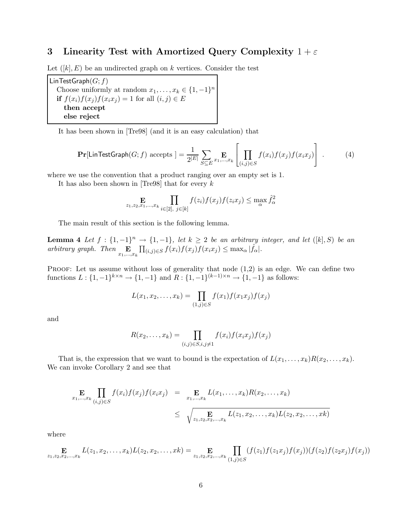### 3 Linearity Test with Amortized Query Complexity  $1+\varepsilon$

Let  $([k], E)$  be an undirected graph on k vertices. Consider the test

LinTestGraph $(G; f)$ Choose uniformly at random  $x_1, \ldots, x_k \in \{1, -1\}^n$ if  $f(x_i)f(x_j)f(x_ix_j) = 1$  for all  $(i, j) \in E$ then accept else reject

It has been shown in [Tre98] (and it is an easy calculation) that

$$
\Pr[\mathsf{LinTestGraph}(G; f) \text{ accepts }] = \frac{1}{2^{|E|}} \sum_{S \subseteq E} \mathop{\mathbf{E}}_{x_1, \dots, x_k} \left[ \prod_{(i,j) \in S} f(x_i) f(x_j) f(x_i x_j) \right]. \tag{4}
$$

where we use the convention that a product ranging over an empty set is 1.

It has also been shown in [Tre98] that for every  $k$ 

$$
\mathop{\mathbf{E}}_{z_1,z_2,x_1,\ldots,x_k} \prod_{i\in[2],\ j\in[k]} f(z_i)f(x_j)f(z_ix_j) \le \max_{\alpha} \hat{f}_{\alpha}^2
$$

The main result of this section is the following lemma.

**Lemma 4** Let  $f: \{1, -1\}^n \rightarrow \{1, -1\}$ , let  $k \geq 2$  be an arbitrary integer, and let  $([k], S)$  be an arbitrary graph. Then  $\mathop{\mathbf{E}}_{x_1,\dots,x_k} \prod_{(i,j)\in S} f(x_i) f(x_j) f(x_i x_j) \leq \max_{\alpha} |\hat{f}_{\alpha}|.$ 

PROOF: Let us assume without loss of generality that node  $(1,2)$  is an edge. We can define two functions  $L: \{1, -1\}^{k \times n} \to \{1, -1\}$  and  $R: \{1, -1\}^{(k-1)\times n} \to \{1, -1\}$  as follows:

$$
L(x_1, x_2, \dots, x_k) = \prod_{(1,j) \in S} f(x_1) f(x_1 x_j) f(x_j)
$$

and

$$
R(x_2,\ldots,x_k) = \prod_{(i,j)\in S, i,j\neq 1} f(x_i) f(x_i x_j) f(x_j)
$$

That is, the expression that we want to bound is the expectation of  $L(x_1, \ldots, x_k)R(x_2, \ldots, x_k)$ . We can invoke Corollary 2 and see that

$$
\mathbf{E}_{x_1,...,x_k} \prod_{(i,j)\in S} f(x_i) f(x_j) f(x_i x_j) = \mathbf{E}_{x_1,...,x_k} L(x_1,...,x_k) R(x_2,...,x_k)
$$
  
 
$$
\leq \sqrt{\sum_{z_1,z_2,z_2,...,x_k} L(z_1,x_2,...,x_k) L(z_2,x_2,...,x_k)}
$$

where

$$
\mathop{\mathbf{E}}_{z_1,z_2,x_2,...,x_k} L(z_1,x_2,...,x_k) L(z_2,x_2,...,x_k) = \mathop{\mathbf{E}}_{z_1,z_2,x_2,...,x_k} \prod_{(1,j)\in S} (f(z_1)f(z_1x_j)f(x_j))(f(z_2)f(z_2x_j)f(x_j))
$$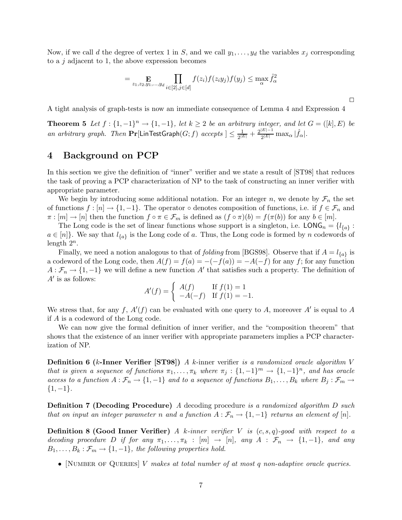Now, if we call d the degree of vertex 1 in S, and we call  $y_1, \ldots, y_d$  the variables  $x_j$  corresponding to a  $j$  adjacent to 1, the above expression becomes

$$
=\mathop{\mathbf{E}}\limits_{z_1,z_2,y_1,\ldots,y_d}\prod\limits_{i\in[2],j\in[d]}f(z_i)f(z_iy_j)f(y_j)\leq\max_{\alpha}\hat{f}_{\alpha}^2
$$

 $\Box$ 

A tight analysis of graph-tests is now an immediate consequence of Lemma 4 and Expression 4

**Theorem 5** Let  $f: \{1, -1\}^n \to \{1, -1\}$ , let  $k \geq 2$  be an arbitrary integer, and let  $G = ([k], E)$  be an arbitrary graph. Then  $Pr[LinTestGraph(G; f)$  accepts  $] \leq \frac{1}{2^{|I|}}$  $\frac{1}{2^{|E|}} + \frac{2^{|E|-1}}{2^{|E|}}$  $\frac{|E|-1}{2^{|E|}}\max_{\alpha}|\hat{f}_{\alpha}|.$ 

### 4 Background on PCP

In this section we give the definition of "inner" verifier and we state a result of [ST98] that reduces the task of proving a PCP characterization of NP to the task of constructing an inner verifier with appropriate parameter.

We begin by introducing some additional notation. For an integer n, we denote by  $\mathcal{F}_n$  the set of functions  $f : [n] \to \{1, -1\}$ . The operator  $\circ$  denotes composition of functions, i.e. if  $f \in \mathcal{F}_n$  and  $\pi : [m] \to [n]$  then the function  $f \circ \pi \in \mathcal{F}_m$  is defined as  $(f \circ \pi)(b) = f(\pi(b))$  for any  $b \in [m]$ .

The Long code is the set of linear functions whose support is a singleton, i.e.  $\mathsf{LONG}_n = \{l_{\{a\}}:$  $a \in [n]$ . We say that  $l_{\{a\}}$  is the Long code of a. Thus, the Long code is formed by n codewords of length  $2^n$ .

Finally, we need a notion analogous to that of *folding* from [BGS98]. Observe that if  $A = l_{\{a\}}$  is a codeword of the Long code, then  $A(f) = f(a) = -(-f(a)) = -A(-f)$  for any f; for any function  $A: \mathcal{F}_n \to \{1, -1\}$  we will define a new function  $A'$  that satisfies such a property. The definition of  $A'$  is as follows:

$$
A'(f) = \begin{cases} A(f) & \text{If } f(1) = 1 \\ -A(-f) & \text{If } f(1) = -1. \end{cases}
$$

We stress that, for any f,  $A'(f)$  can be evaluated with one query to A, moreover A' is equal to A if A is a codeword of the Long code.

We can now give the formal definition of inner verifier, and the "composition theorem" that shows that the existence of an inner verifier with appropriate parameters implies a PCP characterization of NP.

**Definition 6** (k-Inner Verifier [ST98]) A k-inner verifier is a randomized oracle algorithm V that is given a sequence of functions  $\pi_1, \ldots, \pi_k$  where  $\pi_j : \{1, -1\}^m \to \{1, -1\}^n$ , and has oracle access to a function  $A: \mathcal{F}_n \to \{1, -1\}$  and to a sequence of functions  $B_1, \ldots, B_k$  where  $B_j: \mathcal{F}_m \to$  ${1, -1}.$ 

Definition 7 (Decoding Procedure) A decoding procedure is a randomized algorithm D such that on input an integer parameter n and a function  $A : \mathcal{F}_n \to \{1, -1\}$  returns an element of  $[n]$ .

**Definition 8 (Good Inner Verifier)** A k-inner verifier V is  $(c, s, q)$ -good with respect to a decoding procedure D if for any  $\pi_1, \ldots, \pi_k : [m] \rightarrow [n]$ , any  $A : \mathcal{F}_n \rightarrow \{1, -1\}$ , and any  $B_1, \ldots, B_k : \mathcal{F}_m \to \{1, -1\}$ , the following properties hold.

• [NUMBER OF QUERIES]  $V$  makes at total number of at most q non-adaptive oracle queries.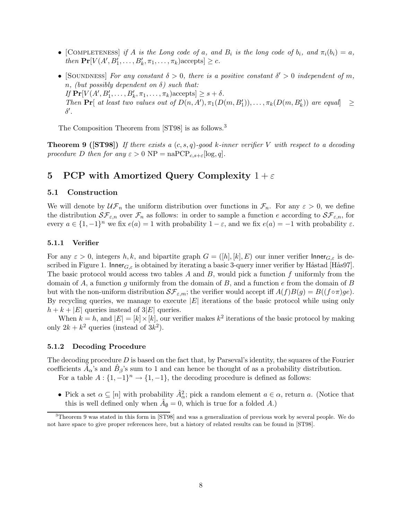- [COMPLETENESS] if A is the Long code of a, and  $B_i$  is the long code of  $b_i$ , and  $\pi_i(b_i) = a$ , then  $\Pr[V(A', B'_1, \ldots, B'_k, \pi_1, \ldots, \pi_k)$ accepts $] \geq c$ .
- [SOUNDNESS] For any constant  $\delta > 0$ , there is a positive constant  $\delta' > 0$  independent of m, n, (but possibly dependent on  $\delta$ ) such that: If  $\Pr[V(A', B'_1, \ldots, B'_k, \pi_1, \ldots, \pi_k)$ accepts $] \geq s + \delta$ . Then  $\Pr[\text{ at least two values out of } D(n, A'), \pi_1(D(m, B_1')), \ldots, \pi_k(D(m, B_k')) \text{ are equal} \geq$  $\delta'.$

The Composition Theorem from [ST98] is as follows.<sup>3</sup>

**Theorem 9 ([ST98])** If there exists a  $(c, s, q)$ -good k-inner verifier V with respect to a decoding procedure D then for any  $\varepsilon > 0$  NP = naPCP<sub>c,s+ $\varepsilon$ </sub>[log, q].

### 5 PCP with Amortized Query Complexity  $1+\varepsilon$

#### 5.1 Construction

We will denote by  $\mathcal{U}\mathcal{F}_n$  the uniform distribution over functions in  $\mathcal{F}_n$ . For any  $\varepsilon > 0$ , we define the distribution  $\mathcal{SF}_{\varepsilon,n}$  over  $\mathcal{F}_n$  as follows: in order to sample a function e according to  $\mathcal{SF}_{\varepsilon,n}$ , for every  $a \in \{1, -1\}^n$  we fix  $e(a) = 1$  with probability  $1 - \varepsilon$ , and we fix  $e(a) = -1$  with probability  $\varepsilon$ .

### 5.1.1 Verifier

For any  $\varepsilon > 0$ , integers h, k, and bipartite graph  $G = ([h], [k], E)$  our inner verifier Inner  $_{G,\varepsilon}$  is described in Figure 1. Inner $G_{\xi}$  is obtained by iterating a basic 3-query inner verifier by Håstad [Hås97]. The basic protocol would access two tables  $A$  and  $B$ , would pick a function  $f$  uniformly from the domain of A, a function g uniformly from the domain of B, and a function  $e$  from the domain of B but with the non-uniform distribution  $\mathcal{SF}_{\varepsilon,m}$ ; the verifier would accept iff  $A(f)B(g) = B((f \circ \pi)ge)$ . By recycling queries, we manage to execute  $|E|$  iterations of the basic protocol while using only  $h + k + |E|$  queries instead of  $3|E|$  queries.

When  $k = h$ , and  $|E| = [k] \times [k]$ , our verifier makes  $k^2$  iterations of the basic protocol by making only  $2k + k^2$  queries (instead of  $3k^2$ ).

### 5.1.2 Decoding Procedure

The decoding procedure  $D$  is based on the fact that, by Parseval's identity, the squares of the Fourier coefficients  $\hat{A}_{\alpha}$ 's and  $\hat{B}_{\beta}$ 's sum to 1 and can hence be thought of as a probability distribution.

For a table  $A: \{1, -1\}^n \to \{1, -1\}$ , the decoding procedure is defined as follows:

• Pick a set  $\alpha \subseteq [n]$  with probability  $\hat{A}_{\alpha}^2$ ; pick a random element  $a \in \alpha$ , return a. (Notice that this is well defined only when  $\hat{A}_{\emptyset} = 0$ , which is true for a folded A.)

<sup>3</sup>Theorem 9 was stated in this form in [ST98] and was a generalization of previous work by several people. We do not have space to give proper references here, but a history of related results can be found in [ST98].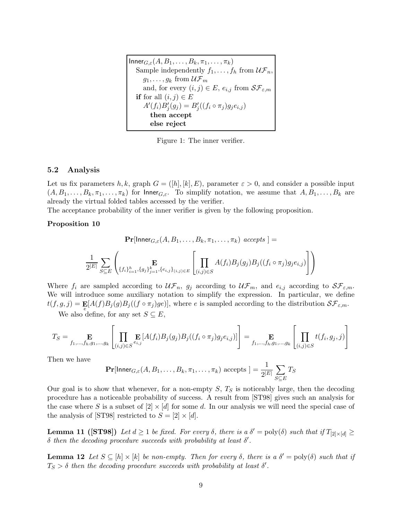$\text{Inner}_{G,\varepsilon}(A, B_1, \ldots, B_k, \pi_1, \ldots, \pi_k)$ Sample independently  $f_1, \ldots, f_h$  from  $\mathcal{UF}_n$ ,  $g_1, \ldots, g_k$  from  $\mathcal{UF}_m$ and, for every  $(i, j) \in E$ ,  $e_{i,j}$  from  $\mathcal{SF}_{\varepsilon,m}$ **if** for all  $(i, j) \in E$  $A'(f_i)B'_{j}(g_j) = B'_{j}((f_i \circ \pi_j)g_j e_{i,j})$ then accept else reject

Figure 1: The inner verifier.

### 5.2 Analysis

Let us fix parameters h, k, graph  $G = ([h], [k], E)$ , parameter  $\varepsilon > 0$ , and consider a possible input  $(A, B_1, \ldots, B_k, \pi_1, \ldots, \pi_k)$  for Inner $_{G,\varepsilon}$ . To simplify notation, we assume that  $A, B_1, \ldots, B_k$  are already the virtual folded tables accessed by the verifier.

The acceptance probability of the inner verifier is given by the following proposition.

### Proposition 10

$$
\mathbf{Pr}[\mathsf{Inner}_{G,\varepsilon}(A,B_1,\ldots,B_k,\pi_1,\ldots,\pi_k) \text{ accepts } ] =
$$
\n
$$
\frac{1}{2^{|E|}} \sum_{S \subseteq E} \left( \mathbf{E}_{\{f_i\}_{i=1}^h,\{g_j\}_{j=1}^k,\{e_{i,j}\}_{(i,j) \in E}} \left[ \prod_{(i,j) \in S} A(f_i) B_j(g_j) B_j((f_i \circ \pi_j) g_j e_{i,j}) \right] \right)
$$

Where  $f_i$  are sampled according to  $\mathcal{UF}_n$ ,  $g_j$  according to  $\mathcal{UF}_m$ , and  $e_{i,j}$  according to  $\mathcal{SF}_{\varepsilon,m}$ . We will introduce some auxiliary notation to simplify the expression. In particular, we define  $t(f,g,j) = \mathbf{E}[A(f)B_j(g)B_j((f \circ \pi_j)ge)],$  where e is sampled according to the distribution  $\mathcal{SF}_{\varepsilon,m}$ .

We also define, for any set  $S \subseteq E$ ,

$$
T_S = \underset{f_1,\ldots,f_h,g_1,\ldots,g_k}{\mathbf{E}} \left[ \prod_{(i,j)\in S} \underset{e_{i,j}}{\mathbf{E}} \left[ A(f_i) B_j(g_j) B_j((f_i \circ \pi_j) g_j e_{i,j}) \right] \right] = \underset{f_1,\ldots,f_h,g_1,\ldots,g_k}{\mathbf{E}} \left[ \prod_{(i,j)\in S} t(f_i,g_j,j) \right]
$$

Then we have

$$
\Pr[\mathsf{Inner}_{G,\varepsilon}(A,B_1,\ldots,B_k,\pi_1,\ldots,\pi_k)\text{ accepts }]=\frac{1}{2^{|E|}}\sum_{S\subseteq E}T_S
$$

Our goal is to show that whenever, for a non-empty  $S$ ,  $T<sub>S</sub>$  is noticeably large, then the decoding procedure has a noticeable probability of success. A result from [ST98] gives such an analysis for the case where S is a subset of  $[2] \times [d]$  for some d. In our analysis we will need the special case of the analysis of [ST98] restricted to  $S = [2] \times [d]$ .

**Lemma 11 ([ST98])** Let  $d \ge 1$  be fixed. For every  $\delta$ , there is a  $\delta' = \text{poly}(\delta)$  such that if  $T_{[2] \times [d]} \ge$  $\delta$  then the decoding procedure succeeds with probability at least  $\delta'$ .

**Lemma 12** Let  $S \subseteq [h] \times [k]$  be non-empty. Then for every  $\delta$ , there is a  $\delta' = \text{poly}(\delta)$  such that if  $T_S > \delta$  then the decoding procedure succeeds with probability at least  $\delta'$ .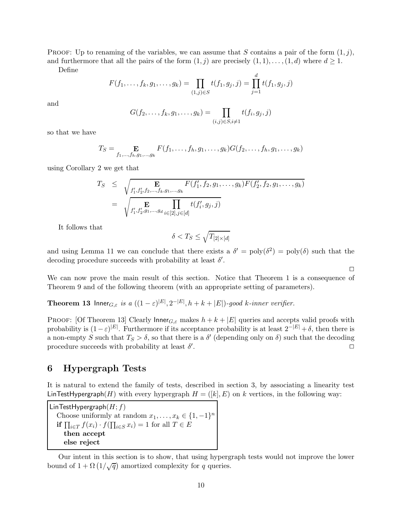PROOF: Up to renaming of the variables, we can assume that S contains a pair of the form  $(1, j)$ , and furthermore that all the pairs of the form  $(1, j)$  are precisely  $(1, 1), \ldots, (1, d)$  where  $d \geq 1$ .

Define

$$
F(f_1,\ldots,f_k,g_1,\ldots,g_k)=\prod_{(1,j)\in S}t(f_1,g_j,j)=\prod_{j=1}^d t(f_1,g_j,j)
$$

and

$$
G(f_2,...,f_k,g_1,...,g_k) = \prod_{(i,j)\in S, i\neq 1} t(f_i,g_j,j)
$$

so that we have

$$
T_S = \mathop{\mathbf{E}}_{f_1,\dots,f_h,g_1,\dots,g_k} F(f_1,\dots,f_h,g_1,\dots,g_k) G(f_2,\dots,f_h,g_1,\dots,g_k)
$$

using Corollary 2 we get that

$$
T_S \leq \sqrt{\sum_{f'_1, f'_2, f_2, \dots, f_k, g_1, \dots, g_k} F(f'_1, f_2, g_1, \dots, g_k) F(f'_2, f_2, g_1, \dots, g_k)}
$$
  
= 
$$
\sqrt{\sum_{f'_1, f'_2, g_1, \dots, g_d} \prod_{i \in [2], j \in [d]} t(f'_i, g_j, j)}
$$

It follows that

$$
\delta < T_S \le \sqrt{T_{[2] \times [d]}}
$$

and using Lemma 11 we can conclude that there exists a  $\delta' = \text{poly}(\delta^2) = \text{poly}(\delta)$  such that the decoding procedure succeeds with probability at least  $\delta'$ .

 $\Box$ 

We can now prove the main result of this section. Notice that Theorem 1 is a consequence of Theorem 9 and of the following theorem (with an appropriate setting of parameters).

**Theorem 13** Inner $_{G,\varepsilon}$  is a  $((1-\varepsilon)^{|E|}, 2^{-|E|}, h+k+|E|)$ -good k-inner verifier.

PROOF: [Of Theorem 13] Clearly Inner<sub>G, $\varepsilon$ </sub> makes  $h + k + |E|$  queries and accepts valid proofs with probability is  $(1 - \varepsilon)^{|E|}$ . Furthermore if its acceptance probability is at least  $2^{-|E|} + \delta$ , then there is a non-empty S such that  $T_S > \delta$ , so that there is a  $\delta'$  (depending only on  $\delta$ ) such that the decoding procedure succeeds with probability at least  $\delta'$ . **2008 . 2008 . 2008 . 2008 . 2008 . 2008 . 2008 . 2008** 

### 6 Hypergraph Tests

It is natural to extend the family of tests, described in section 3, by associating a linearity test LinTestHypergraph(H) with every hypergraph  $H = ([k], E)$  on k vertices, in the following way:

LinTestHypergraph $(H; f)$ Choose uniformly at random  $x_1, \ldots, x_k \in \{1, -1\}^n$ **if**  $\prod_{i \in T} f(x_i) \cdot f(\prod_{i \in S} x_i) = 1$  for all  $T \in E$ then accept else reject

Our intent in this section is to show, that using hypergraph tests would not improve the lower bound of  $1 + \Omega(1/\sqrt{q})$  amortized complexity for q queries.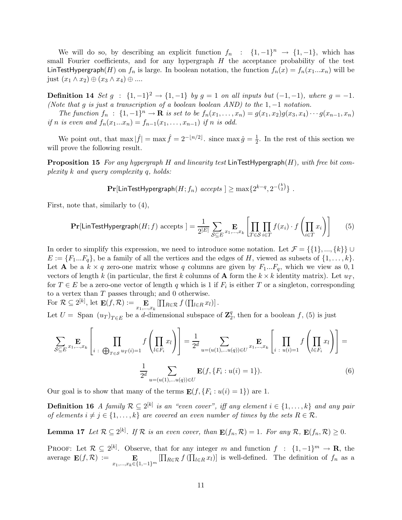We will do so, by describing an explicit function  $f_n$  :  $\{1, -1\}^n \rightarrow \{1, -1\}$ , which has small Fourier coefficients, and for any hypergraph  $H$  the acceptance probability of the test LinTestHypergraph(H) on  $f_n$  is large. In boolean notation, the function  $f_n(x) = f_n(x_1...x_n)$  will be just  $(x_1 \wedge x_2) \oplus (x_3 \wedge x_4) \oplus ...$ 

**Definition 14** Set  $g$  : {1, -1}<sup>2</sup> → {1, -1} by  $g = 1$  on all inputs but (-1, -1), where  $g = -1$ . (Note that g is just a transcription of a boolean boolean AND) to the  $1, -1$  notation.

The function  $f_n : \{1, -1\}^n \to \mathbf{R}$  is set to be  $f_n(x_1, ..., x_n) = g(x_1, x_2)g(x_3, x_4) \cdots g(x_{n-1}, x_n)$ if n is even and  $f_n(x_1...x_n) = f_{n-1}(x_1,...,x_{n-1})$  if n is odd.

We point out, that  $\max |\hat{f}| = \max \hat{f} = 2^{-\lfloor n/2 \rfloor}$ . since  $\max \hat{g} = \frac{1}{2}$  $\frac{1}{2}$ . In the rest of this section we will prove the following result.

**Proposition 15** For any hypergraph H and linearity test LinTestHypergraph $(H)$ , with free bit complexity k and query complexity q, holds:

$$
\mathbf{Pr}[\mathsf{LinTestHypergraph}(H;f_n)~accepts~] \geq \max\{2^{k-q},2^{-{k \choose 2}}\}~.
$$

First, note that, similarly to (4),

$$
\Pr[\mathsf{LinTestHypergraph}(H; f) \text{ accepts }] = \frac{1}{2^{|E|}} \sum_{\mathcal{S} \subseteq E} \mathop{\mathbf{E}}_{x_1, \dots, x_k} \left[ \prod_{T \in \mathcal{S}} \prod_{i \in T} f(x_i) \cdot f\left(\prod_{i \in T} x_i\right) \right] \tag{5}
$$

In order to simplify this expression, we need to introduce some notation. Let  $\mathcal{F} = \{\{1\}, ..., \{k\}\}\cup$  $E := \{F_1...F_q\}$ , be a family of all the vertices and the edges of H, viewed as subsets of  $\{1,\ldots,k\}$ . Let **A** be a  $k \times q$  zero-one matrix whose q columns are given by  $F_1...F_q$ , which we view as 0,1 vectors of length k (in particular, the first k columns of **A** form the  $k \times k$  identity matrix). Let  $u_T$ , for  $T \in E$  be a zero-one vector of length q which is 1 if  $F_i$  is either T or a singleton, corresponding to a vertex than  $T$  passes through; and 0 otherwise.

For 
$$
\mathcal{R} \subseteq 2^{[k]}
$$
, let  $\mathbf{E}(f, \mathcal{R}) := \mathbf{E} \left[ \prod_{R \in \mathcal{R}} f \left( \prod_{l \in R} x_l \right) \right]$ .

Let  $U = \text{Span } (u_T)_{T \in E}$  be a d-dimensional subspace of  $\mathbb{Z}_2^q$  $_2^q$ , then for a boolean f, (5) is just

$$
\sum_{\mathcal{S} \subseteq E} \mathbf{E}_{x_1, \dots, x_k} \left[ \prod_{i \in \mathcal{B}_{T \in \mathcal{S}} u_T(i) = 1} f \left( \prod_{l \in F_i} x_l \right) \right] = \frac{1}{2^d} \sum_{u = (u(1), \dots u(q)) \in U} \mathbf{E}_{x_1, \dots, x_k} \left[ \prod_{i \in u(i) = 1} f \left( \prod_{l \in F_i} x_l \right) \right] = \frac{1}{2^d} \sum_{u = (u(1), \dots u(q)) \in U} \mathbf{E}(f, \{F_i : u(i) = 1\}).
$$
\n(6)

Our goal is to show that many of the terms  $\mathbf{E}(f, \{F_i : u(i) = 1\})$  are 1.

**Definition 16** A family  $\mathcal{R} \subseteq 2^{[k]}$  is an "even cover", iff any element  $i \in \{1, ..., k\}$  and any pair of elements  $i \neq j \in \{1, ..., k\}$  are covered an even number of times by the sets  $R \in \mathcal{R}$ .

**Lemma 17** Let  $\mathcal{R} \subseteq 2^{[k]}$ . If  $\mathcal{R}$  is an even cover, than  $\mathbf{E}(f_n, \mathcal{R}) = 1$ . For any  $\mathcal{R}$ ,  $\mathbf{E}(f_n, \mathcal{R}) \geq 0$ .

PROOF: Let  $\mathcal{R} \subseteq 2^{[k]}$ . Observe, that for any integer m and function  $f : \{1, -1\}^m \to \mathbf{R}$ , the average  $\mathbf{E}(f,\mathcal{R}) :=$  $x_1,...,x_k \in \{1,-1\}^m$  $[\prod_{R \in \mathcal{R}} f(\prod_{l \in R} x_l)]$  is well-defined. The definition of  $f_n$  as a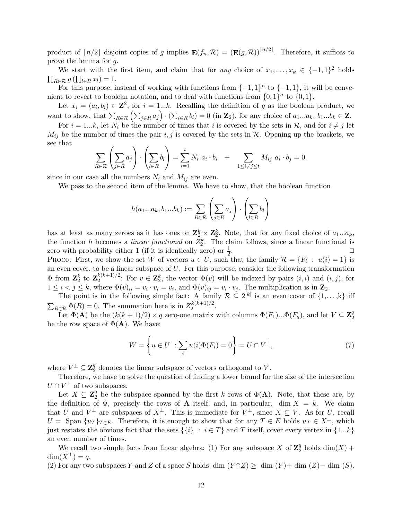product of  $\lfloor n/2 \rfloor$  disjoint copies of g implies  $\mathbf{E}(f_n, \mathcal{R}) = (\mathbf{E}(g, \mathcal{R}))^{n/2}$ . Therefore, it suffices to prove the lemma for g.

We start with the first item, and claim that for *any* choice of  $x_1, \ldots, x_k \in \{-1, 1\}^2$  holds  $\prod_{R \in \mathcal{R}} g\left(\prod_{l \in R} x_l\right) = 1.$ 

For this purpose, instead of working with functions from  $\{-1,1\}^n$  to  $\{-1,1\}$ , it will be convenient to revert to boolean notation, and to deal with functions from  $\{0,1\}^n$  to  $\{0,1\}$ .

Let  $x_i = (a_i, b_i) \in \mathbb{Z}^2$ , for  $i = 1...k$ . Recalling the definition of g as the boolean product, we want to show, that  $\sum_{R\in\mathcal{R}}\left(\sum_{j\in R}a_j\right)\cdot\left(\sum_{l\in R}b_l\right)=0$  (in  $\mathbf{Z}_2$ ), for any choice of  $a_1...a_k$ ,  $b_1...b_k\in\mathbf{Z}$ .

For  $i = 1...k$ , let  $N_i$  be the number of times that i is covered by the sets in  $\mathcal{R}$ , and for  $i \neq j$  let  $M_{ij}$  be the number of times the pair i, j is covered by the sets in R. Opening up the brackets, we see that

$$
\sum_{R \in \mathcal{R}} \left( \sum_{j \in R} a_j \right) \cdot \left( \sum_{l \in R} b_l \right) = \sum_{i=1}^t N_i a_i \cdot b_i + \sum_{1 \le i \ne j \le t} M_{ij} a_i \cdot b_j = 0,
$$

since in our case all the numbers  $N_i$  and  $M_{ij}$  are even.

We pass to the second item of the lemma. We have to show, that the boolean function

$$
h(a_1...a_k, b_1...b_k) := \sum_{R \in \mathcal{R}} \left(\sum_{j \in R} a_j\right) \cdot \left(\sum_{l \in R} b_l\right)
$$

has at least as many zeroes as it has ones on  $\mathbb{Z}_2^k \times \mathbb{Z}_2^k$ . Note, that for any fixed choice of  $a_1...a_k$ , the function h becomes a *linear functional* on  $Z_2^k$ . The claim follows, since a linear functional is zero with probability either 1 (if it is identically zero) or  $\frac{1}{2}$ . The contract of the contract of  $\Box$ 

PROOF: First, we show the set W of vectors  $u \in U$ , such that the family  $\mathcal{R} = \{F_i : u(i) = 1\}$  is an even cover, to be a linear subspace of  $U$ . For this purpose, consider the following transformation  $\Phi$  from  $\mathbf{Z}_2^k$  to  $\mathbf{Z}_2^{k(k+1)/2}$  $\mathbf{z}^{(k+1)/2}$ : For  $v \in \mathbf{Z}_2^k$ , the vector  $\Phi(v)$  will be indexed by pairs  $(i, i)$  and  $(i, j)$ , for  $1 \leq i < j \leq k$ , where  $\Phi(v)_{ii} = v_i \cdot v_i = v_i$ , and  $\Phi(v)_{ij} = v_i \cdot v_j$ . The multiplication is in  $\mathbb{Z}_2$ .

The point is in the following simple fact: A family  $\mathcal{R} \subseteq 2^{[k]}$  is an even cover of  $\{1,\ldots,k\}$  iff  $\sum_{R \in \mathcal{R}} \Phi(R) = 0$ . The summation here is in  $Z_2^{k(k+1)/2}$ .  $2^{k(k+1)/2}$ .

Let  $\Phi(\mathbf{A})$  be the  $(k(k+1)/2) \times q$  zero-one matrix with columns  $\Phi(F_1)...\Phi(F_q)$ , and let  $V \subseteq \mathbf{Z}_2^q$ 2 be the row space of  $\Phi(\mathbf{A})$ . We have:

$$
W = \left\{ u \in U : \sum_{i} u(i) \Phi(F_i) = 0 \right\} = U \cap V^{\perp}, \tag{7}
$$

where  $V^{\perp} \subseteq \mathbb{Z}_2^q$  denotes the linear subspace of vectors orthogonal to V.

Therefore, we have to solve the question of finding a lower bound for the size of the intersection  $U \cap V^{\perp}$  of two subspaces.

Let  $X \subseteq \mathbb{Z}_2^q$  be the subspace spanned by the first k rows of  $\Phi(\mathbf{A})$ . Note, that these are, by the definition of  $\Phi$ , precisely the rows of **A** itself, and, in particular, dim  $X = k$ . We claim that U and  $V^{\perp}$  are subspaces of  $X^{\perp}$ . This is immediate for  $V^{\perp}$ , since  $X \subseteq V$ . As for U, recall  $U = \text{Span } \{u_T\}_{T \in E}.$  Therefore, it is enough to show that for any  $T \in E$  holds  $u_T \in X^{\perp}$ , which just restates the obvious fact that the sets  $\{\{i\} : i \in T\}$  and T itself, cover every vertex in  $\{1...k\}$ an even number of times.

We recall two simple facts from linear algebra: (1) For any subspace X of  $\mathbb{Z}_2^q$  holds  $\dim(X)$  +  $\dim(X^{\perp}) = q$ .

(2) For any two subspaces Y and Z of a space S holds dim  $(Y \cap Z) \ge$  dim  $(Y) +$  dim  $(Z) -$  dim  $(S)$ .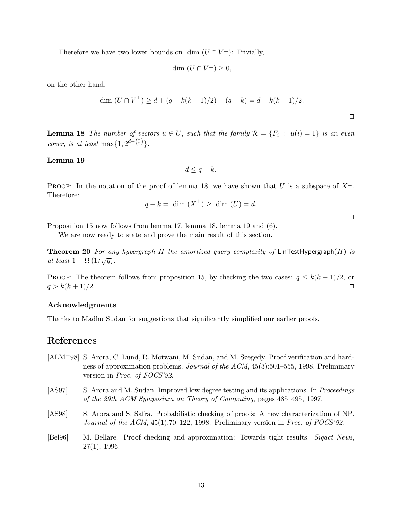Therefore we have two lower bounds on  $\dim (U \cap V^{\perp})$ : Trivially,

$$
\dim (U \cap V^{\perp}) \geq 0,
$$

on the other hand,

$$
\dim (U \cap V^{\perp}) \ge d + (q - k(k+1)/2) - (q - k) = d - k(k-1)/2.
$$

**Lemma 18** The number of vectors  $u \in U$ , such that the family  $\mathcal{R} = \{F_i : u(i) = 1\}$  is an even cover, is at least max $\{1, 2^{d - \binom{k}{2}}\}.$ 

#### Lemma 19

$$
d \leq q - k.
$$

PROOF: In the notation of the proof of lemma 18, we have shown that U is a subspace of  $X^{\perp}$ . Therefore:

$$
q - k = \dim (X^{\perp}) \ge \dim (U) = d.
$$

 $\Box$ 

 $\Box$ 

Proposition 15 now follows from lemma 17, lemma 18, lemma 19 and (6).

We are now ready to state and prove the main result of this section.

**Theorem 20** For any hypergraph H the amortized query complexity of LinTestHypergraph(H) is at least  $1 + \Omega(1/\sqrt{q})$ .

PROOF: The theorem follows from proposition 15, by checking the two cases:  $q \leq k(k+1)/2$ , or  $q > k(k+1)/2$ .

### Acknowledgments

Thanks to Madhu Sudan for suggestions that significantly simplified our earlier proofs.

### References

- [ALM+98] S. Arora, C. Lund, R. Motwani, M. Sudan, and M. Szegedy. Proof verification and hardness of approximation problems. Journal of the ACM, 45(3):501–555, 1998. Preliminary version in Proc. of FOCS'92.
- [AS97] S. Arora and M. Sudan. Improved low degree testing and its applications. In *Proceedings* of the 29th ACM Symposium on Theory of Computing, pages 485–495, 1997.
- [AS98] S. Arora and S. Safra. Probabilistic checking of proofs: A new characterization of NP. Journal of the ACM,  $45(1)$ :70–122, 1998. Preliminary version in Proc. of FOCS'92.
- [Bel96] M. Bellare. Proof checking and approximation: Towards tight results. Sigact News, 27(1), 1996.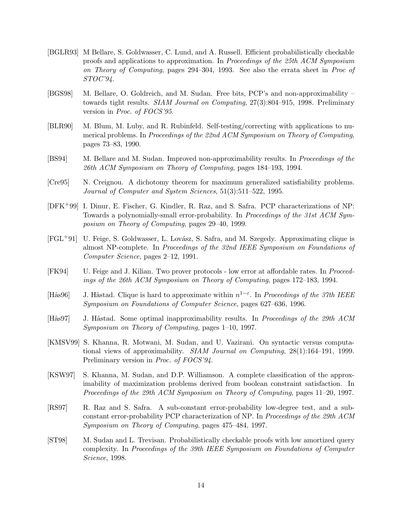- [BGLR93] M Bellare, S. Goldwasser, C. Lund, and A. Russell. Efficient probabilistically checkable proofs and applications to approximation. In Proceedings of the 25th ACM Symposium on Theory of Computing, pages 294–304, 1993. See also the errata sheet in Proc of STOC'94.
- [BGS98] M. Bellare, O. Goldreich, and M. Sudan. Free bits, PCP's and non-approximability towards tight results. SIAM Journal on Computing, 27(3):804–915, 1998. Preliminary version in Proc. of FOCS'95.
- [BLR90] M. Blum, M. Luby, and R. Rubinfeld. Self-testing/correcting with applications to numerical problems. In Proceedings of the 22nd ACM Symposium on Theory of Computing, pages 73–83, 1990.
- [BS94] M. Bellare and M. Sudan. Improved non-approximability results. In Proceedings of the 26th ACM Symposium on Theory of Computing, pages 184–193, 1994.
- [Cre95] N. Creignou. A dichotomy theorem for maximum generalized satisfiability problems. Journal of Computer and System Sciences, 51(3):511–522, 1995.
- [DFK+99] I. Dinur, E. Fischer, G. Kindler, R. Raz, and S. Safra. PCP characterizations of NP: Towards a polynomially-small error-probability. In Proceedings of the 31st ACM Symposium on Theory of Computing, pages 29–40, 1999.
- [FGL<sup>+</sup>91] U. Feige, S. Goldwasser, L. Lovász, S. Safra, and M. Szegedy. Approximating clique is almost NP-complete. In Proceedings of the 32nd IEEE Symposium on Foundations of Computer Science, pages 2–12, 1991.
- [FK94] U. Feige and J. Kilian. Two prover protocols low error at affordable rates. In Proceedings of the 26th ACM Symposium on Theory of Computing, pages 172–183, 1994.
- [Hås96] J. Håstad. Clique is hard to approximate within  $n^{1-\epsilon}$ . In Proceedings of the 37th IEEE Symposium on Foundations of Computer Science, pages 627–636, 1996.
- [Hås97] J. Håstad. Some optimal inapproximability results. In *Proceedings of the 29th ACM* Symposium on Theory of Computing, pages 1–10, 1997.
- [KMSV99] S. Khanna, R. Motwani, M. Sudan, and U. Vazirani. On syntactic versus computational views of approximability. SIAM Journal on Computing, 28(1):164–191, 1999. Preliminary version in *Proc. of FOCS'94*.
- [KSW97] S. Khanna, M. Sudan, and D.P. Williamson. A complete classification of the approximability of maximization problems derived from boolean constraint satisfaction. In Proceedings of the 29th ACM Symposium on Theory of Computing, pages 11–20, 1997.
- [RS97] R. Raz and S. Safra. A sub-constant error-probability low-degree test, and a subconstant error-probability PCP characterization of NP. In Proceedings of the 29th ACM Symposium on Theory of Computing, pages 475–484, 1997.
- [ST98] M. Sudan and L. Trevisan. Probabilistically checkable proofs with low amortized query complexity. In Proceedings of the 39th IEEE Symposium on Foundations of Computer Science, 1998.